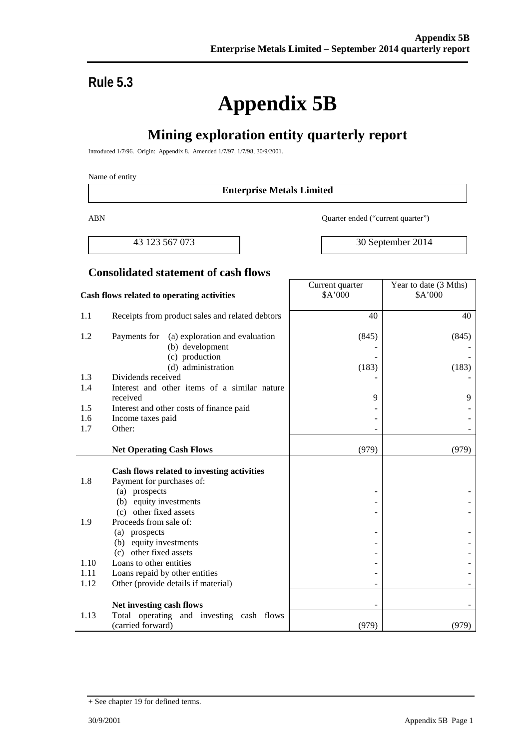Current quarter

# **Rule 5.3**

# **Appendix 5B**

# **Mining exploration entity quarterly report**

Introduced 1/7/96. Origin: Appendix 8. Amended 1/7/97, 1/7/98, 30/9/2001.

#### Name of entity

#### **Enterprise Metals Limited**

ABN Quarter ended ("current quarter")

43 123 567 073 30 September 2014

Year to date (3 Mths)

#### **Consolidated statement of cash flows**

#### **Cash flows related to operating activities** \$A'000 \$A'000 1.1 Receipts from product sales and related debtors 40 40 40 40 1.2 Payments for (a) exploration and evaluation (b) development (c) production (d) administration (845) - - (183) (845) - - (183) 1.3 Dividends received 1.4 Interest and other items of a similar nature received 9 9 1.5 Interest and other costs of finance paid  $\overline{\phantom{a}}$  -1.6 Income taxes paid contract the set of the set of the set of the set of the set of the set of the set of the set of the set of the set of the set of the set of the set of the set of the set of the set of the set of the  $1.7$  Other:  $\qquad \qquad$ **Net Operating Cash Flows** (979) (979) **Cash flows related to investing activities** 1.8 Payment for purchases of: (a) prospects (b) equity investments (c) other fixed assets - - - - - - 1.9 Proceeds from sale of: (a) prospects (b) equity investments (c) other fixed assets - - - - - - 1.10 Loans to other entities 1.11 Loans repaid by other entities  $\vert$  -  $\vert$ 1.12 Other (provide details if material) Net investing cash flows 1.13 Total operating and investing cash flows  $(\text{carried forward})$  (979) (979) (979)

<sup>+</sup> See chapter 19 for defined terms.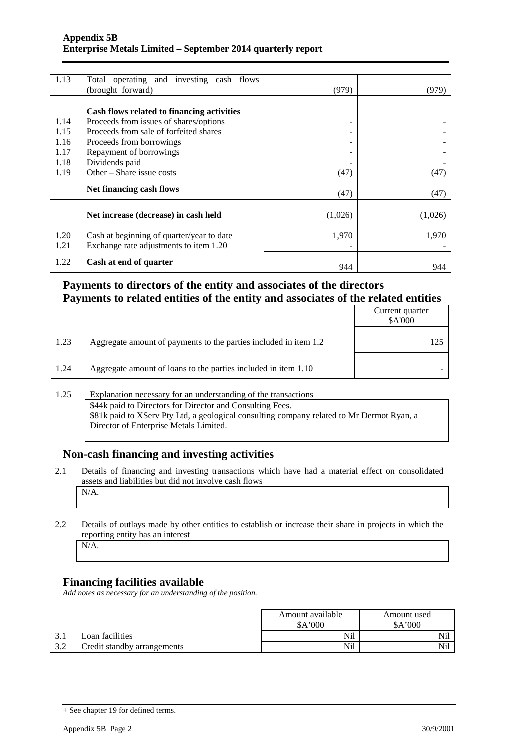| 1.13         | Total operating and investing cash flows<br>(brought forward)                       | (979)   | (979)   |
|--------------|-------------------------------------------------------------------------------------|---------|---------|
|              |                                                                                     |         |         |
|              | Cash flows related to financing activities                                          |         |         |
| 1.14         | Proceeds from issues of shares/options                                              | -       |         |
| 1.15         | Proceeds from sale of forfeited shares                                              |         |         |
| 1.16         | Proceeds from borrowings                                                            |         |         |
| 1.17         | Repayment of borrowings                                                             |         |         |
| 1.18         | Dividends paid                                                                      |         |         |
| 1.19         | Other – Share issue costs                                                           | (47)    | (47)    |
|              | Net financing cash flows                                                            | (47)    | (47)    |
|              | Net increase (decrease) in cash held                                                | (1,026) | (1,026) |
| 1.20<br>1.21 | Cash at beginning of quarter/year to date<br>Exchange rate adjustments to item 1.20 | 1,970   | 1,970   |
| 1.22         | Cash at end of quarter                                                              | 944     | 944     |

### **Payments to directors of the entity and associates of the directors Payments to related entities of the entity and associates of the related entities**

|      |                                                                  | Current quarter<br>\$A'000 |
|------|------------------------------------------------------------------|----------------------------|
| 1.23 | Aggregate amount of payments to the parties included in item 1.2 | 125                        |
| 1.24 | Aggregate amount of loans to the parties included in item 1.10   |                            |

#### 1.25 Explanation necessary for an understanding of the transactions \$44k paid to Directors for Director and Consulting Fees. \$81k paid to XServ Pty Ltd, a geological consulting company related to Mr Dermot Ryan, a Director of Enterprise Metals Limited.

## **Non-cash financing and investing activities**

- 2.1 Details of financing and investing transactions which have had a material effect on consolidated assets and liabilities but did not involve cash flows N/A.
- 2.2 Details of outlays made by other entities to establish or increase their share in projects in which the reporting entity has an interest

N/A.

#### **Financing facilities available**

*Add notes as necessary for an understanding of the position.*

|      |                             | Amount available<br>A'000 | Amount used<br>A'000 |
|------|-----------------------------|---------------------------|----------------------|
|      | Loan facilities             | Nil                       | Nil                  |
| -2 C | Credit standby arrangements | Nil                       | Nil                  |

<sup>+</sup> See chapter 19 for defined terms.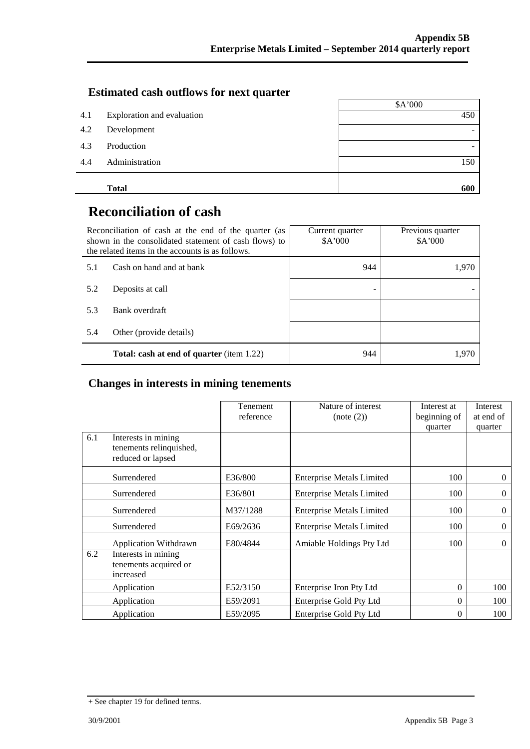#### **Estimated cash outflows for next quarter**

|     |                            | \$A'000 |
|-----|----------------------------|---------|
| 4.1 | Exploration and evaluation | 450     |
| 4.2 | Development                |         |
| 4.3 | Production                 |         |
| 4.4 | Administration             | 150     |
|     | <b>Total</b>               | 600     |

# **Reconciliation of cash**

| Reconciliation of cash at the end of the quarter (as<br>shown in the consolidated statement of cash flows) to<br>the related items in the accounts is as follows. |                                           | Current quarter<br>A'000 | Previous quarter<br>\$A'000 |  |
|-------------------------------------------------------------------------------------------------------------------------------------------------------------------|-------------------------------------------|--------------------------|-----------------------------|--|
| 5.1                                                                                                                                                               | Cash on hand and at bank                  | 944                      | 1,970                       |  |
| 5.2                                                                                                                                                               | Deposits at call                          |                          |                             |  |
| 5.3                                                                                                                                                               | Bank overdraft                            |                          |                             |  |
| 5.4                                                                                                                                                               | Other (provide details)                   |                          |                             |  |
|                                                                                                                                                                   | Total: cash at end of quarter (item 1.22) | 944                      | 1.970                       |  |

### **Changes in interests in mining tenements**

|     |                                                                     | <b>Tenement</b><br>reference | Nature of interest<br>(note (2)) | Interest at<br>beginning of<br>quarter | Interest<br>at end of<br>quarter |
|-----|---------------------------------------------------------------------|------------------------------|----------------------------------|----------------------------------------|----------------------------------|
| 6.1 | Interests in mining<br>tenements relinquished,<br>reduced or lapsed |                              |                                  |                                        |                                  |
|     | Surrendered                                                         | E36/800                      | <b>Enterprise Metals Limited</b> | 100                                    | $\Omega$                         |
|     | Surrendered                                                         | E36/801                      | <b>Enterprise Metals Limited</b> | 100                                    | $\Omega$                         |
|     | Surrendered                                                         | M37/1288                     | <b>Enterprise Metals Limited</b> | 100                                    | $\theta$                         |
|     | Surrendered                                                         | E69/2636                     | <b>Enterprise Metals Limited</b> | 100                                    | $\Omega$                         |
|     | <b>Application Withdrawn</b>                                        | E80/4844                     | Amiable Holdings Pty Ltd         | 100                                    | $\Omega$                         |
| 6.2 | Interests in mining<br>tenements acquired or<br>increased           |                              |                                  |                                        |                                  |
|     | Application                                                         | E52/3150                     | Enterprise Iron Pty Ltd          | 0                                      | 100                              |
|     | Application                                                         | E59/2091                     | Enterprise Gold Pty Ltd          | $\Omega$                               | 100                              |
|     | Application                                                         | E59/2095                     | Enterprise Gold Pty Ltd          | 0                                      | 100                              |

<sup>+</sup> See chapter 19 for defined terms.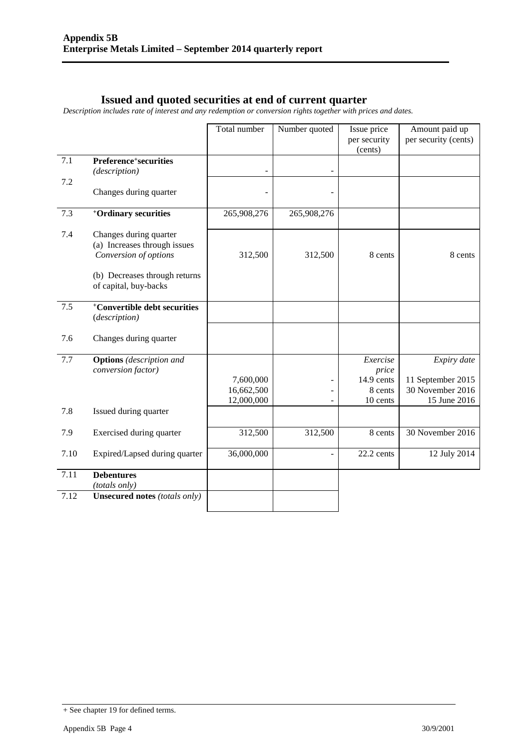### **Issued and quoted securities at end of current quarter**

*Description includes rate of interest and any redemption or conversion rights together with prices and dates.*

|      |                                                                                 | Total number                          | Number quoted | Issue price<br>per security<br>(cents)                 | Amount paid up<br>per security (cents)                               |
|------|---------------------------------------------------------------------------------|---------------------------------------|---------------|--------------------------------------------------------|----------------------------------------------------------------------|
| 7.1  | Preference <sup>+</sup> securities<br>(description)                             | ۰                                     | ۰             |                                                        |                                                                      |
| 7.2  | Changes during quarter                                                          |                                       |               |                                                        |                                                                      |
| 7.3  | <sup>+</sup> Ordinary securities                                                | 265,908,276                           | 265,908,276   |                                                        |                                                                      |
| 7.4  | Changes during quarter<br>(a) Increases through issues<br>Conversion of options | 312,500                               | 312,500       | 8 cents                                                | 8 cents                                                              |
|      | (b) Decreases through returns<br>of capital, buy-backs                          |                                       |               |                                                        |                                                                      |
| 7.5  | <sup>+</sup> Convertible debt securities<br>(description)                       |                                       |               |                                                        |                                                                      |
| 7.6  | Changes during quarter                                                          |                                       |               |                                                        |                                                                      |
| 7.7  | <b>Options</b> (description and<br>conversion factor)                           | 7,600,000<br>16,662,500<br>12,000,000 |               | Exercise<br>price<br>14.9 cents<br>8 cents<br>10 cents | Expiry date<br>11 September 2015<br>30 November 2016<br>15 June 2016 |
| 7.8  | Issued during quarter                                                           |                                       |               |                                                        |                                                                      |
| 7.9  | Exercised during quarter                                                        | 312,500                               | 312,500       | 8 cents                                                | 30 November 2016                                                     |
| 7.10 | Expired/Lapsed during quarter                                                   | 36,000,000                            |               | 22.2 cents                                             | 12 July 2014                                                         |
| 7.11 | <b>Debentures</b><br>(totals only)                                              |                                       |               |                                                        |                                                                      |
| 7.12 | <b>Unsecured notes (totals only)</b>                                            |                                       |               |                                                        |                                                                      |

<sup>+</sup> See chapter 19 for defined terms.